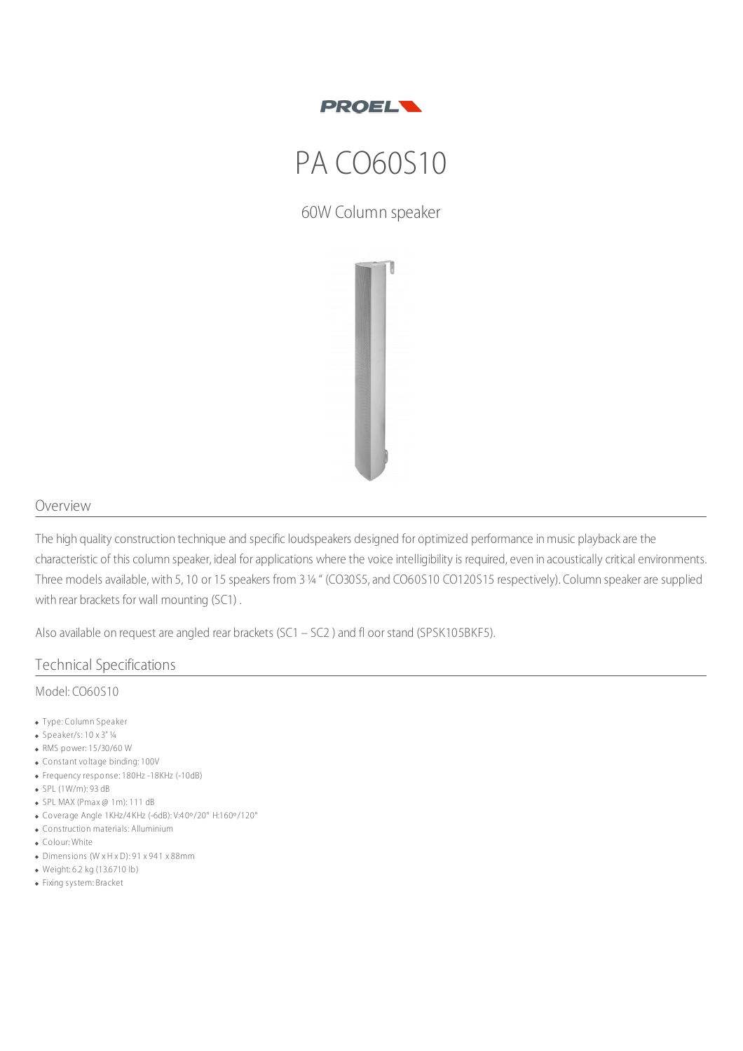

# PA CO60S10

60W Column speaker



### Overview

The high quality construction technique and specific loudspeakers designed for optimized performance in music playback are the characteristic of this column speaker, ideal for applications where the voice intelligibility is required, even in acoustically critical environments. Three models available, with 5, 10 or 15 speakers from 3¼ " (CO30S5, and CO60S10 CO120S15 respectively). Column speaker are supplied with rear brackets for wall mounting (SC1) .

Also available on request are angled rear brackets (SC1 – SC2 ) and fl oor stand (SPSK105BKF5).

#### Technical Specifications

#### Model: CO60S10

- Type: Column Speaker
- $\bullet$  Speaker/s: 10 x 3" 1/4
- RMS power: 15/30/60 W
- Constant voltage binding: 100V
- Frequency response: 180Hz -18KHz (-10dB)
- SPL (1W/m): 93 dB
- $\bullet$  SPL MAX (Pmax @ 1m): 111 dB
- Coverage Angle 1KHz/4 KHz (-6dB): V:4 0º/20° H:160º/120°
- Construction materials: Alluminium
- Colour: White
- Dimensions (W x H x D): 91 x 94 1 x 88mm
- Weight: 6.2 kg (13.6710 lb)
- Fixing system: Bracket